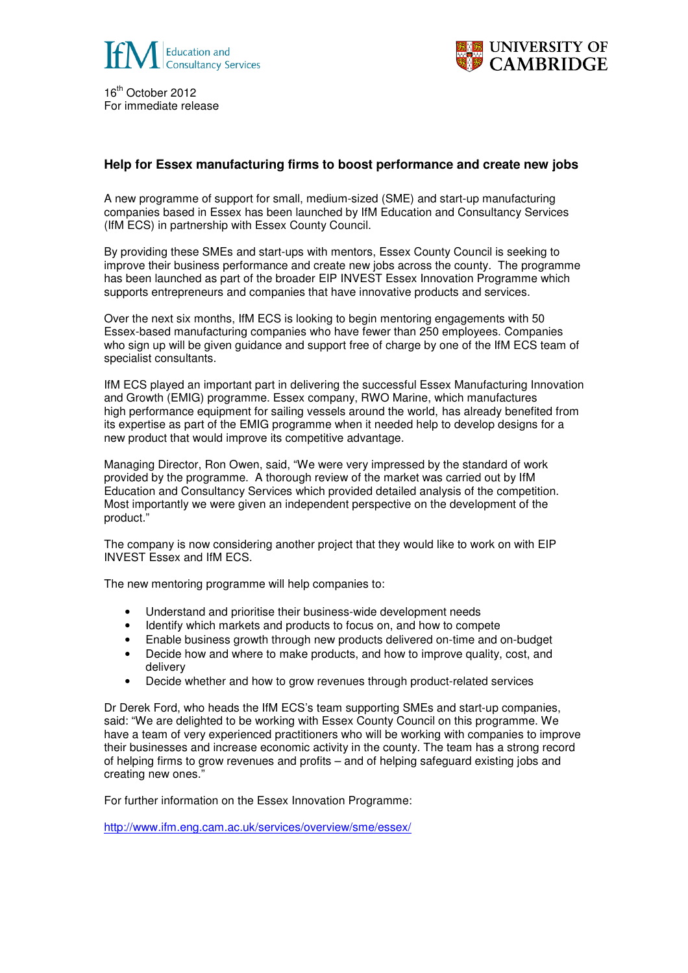

16<sup>th</sup> October 2012 For immediate release



## **Help for Essex manufacturing firms to boost performance and create new jobs**

A new programme of support for small, medium-sized (SME) and start-up manufacturing companies based in Essex has been launched by IfM Education and Consultancy Services (IfM ECS) in partnership with Essex County Council.

By providing these SMEs and start-ups with mentors, Essex County Council is seeking to improve their business performance and create new jobs across the county. The programme has been launched as part of the broader EIP INVEST Essex Innovation Programme which supports entrepreneurs and companies that have innovative products and services.

Over the next six months, IfM ECS is looking to begin mentoring engagements with 50 Essex-based manufacturing companies who have fewer than 250 employees. Companies who sign up will be given guidance and support free of charge by one of the IfM ECS team of specialist consultants.

IfM ECS played an important part in delivering the successful Essex Manufacturing Innovation and Growth (EMIG) programme. Essex company, RWO Marine, which manufactures high performance equipment for sailing vessels around the world, has already benefited from its expertise as part of the EMIG programme when it needed help to develop designs for a new product that would improve its competitive advantage.

Managing Director, Ron Owen, said, "We were very impressed by the standard of work provided by the programme. A thorough review of the market was carried out by IfM Education and Consultancy Services which provided detailed analysis of the competition. Most importantly we were given an independent perspective on the development of the product."

The company is now considering another project that they would like to work on with EIP INVEST Essex and IfM ECS.

The new mentoring programme will help companies to:

- Understand and prioritise their business-wide development needs
- Identify which markets and products to focus on, and how to compete
- Enable business growth through new products delivered on-time and on-budget
- Decide how and where to make products, and how to improve quality, cost, and delivery
- Decide whether and how to grow revenues through product-related services

Dr Derek Ford, who heads the IfM ECS's team supporting SMEs and start-up companies, said: "We are delighted to be working with Essex County Council on this programme. We have a team of very experienced practitioners who will be working with companies to improve their businesses and increase economic activity in the county. The team has a strong record of helping firms to grow revenues and profits – and of helping safeguard existing jobs and creating new ones."

For further information on the Essex Innovation Programme:

http://www.ifm.eng.cam.ac.uk/services/overview/sme/essex/